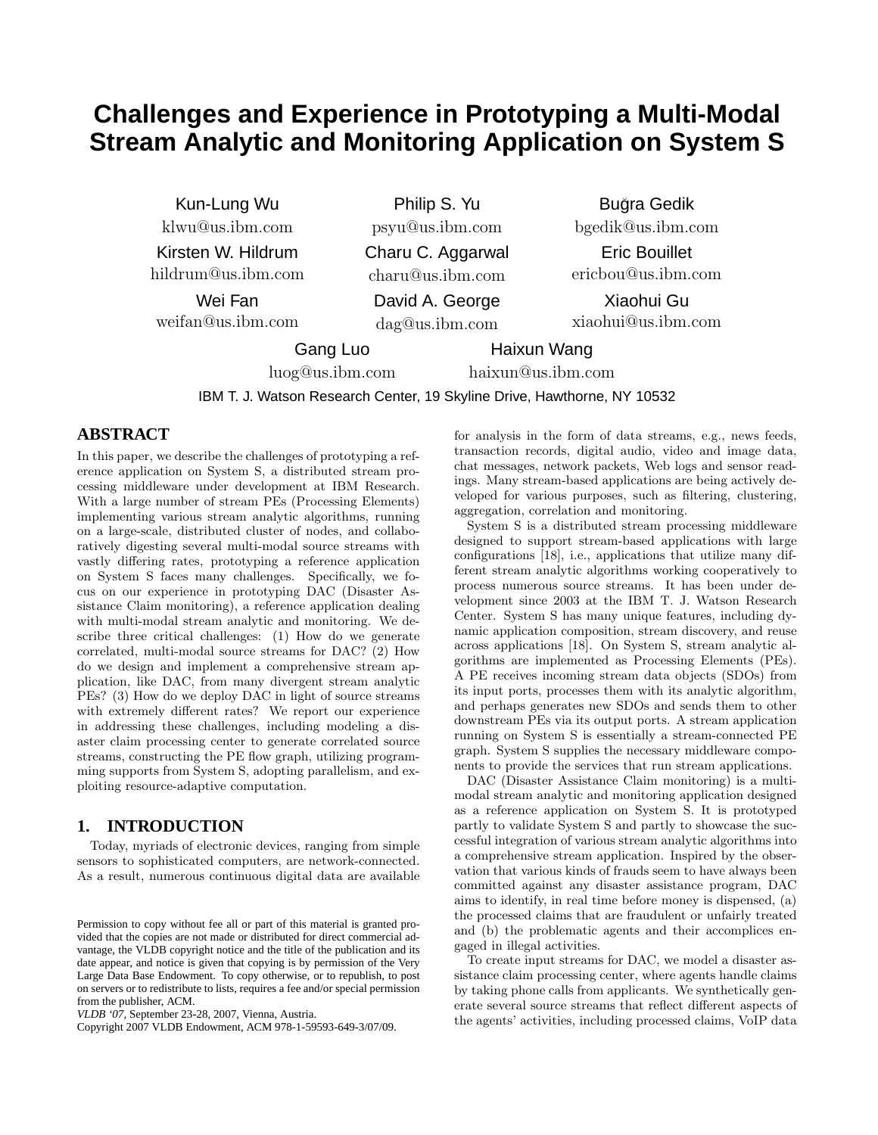# **Challenges and Experience in Prototyping a Multi-Modal Stream Analytic and Monitoring Application on System S**

Kun-Lung Wu klwu@us.ibm.com Kirsten W. Hildrum hildrum@us.ibm.com

Wei Fan weifan@us.ibm.com Philip S. Yu

psyu@us.ibm.com Charu C. Aggarwal charu@us.ibm.com David A. George

dag@us.ibm.com

Gang Luo

luog@us.ibm.com

Haixun Wang

haixun@us.ibm.com

IBM T. J. Watson Research Center, 19 Skyline Drive, Hawthorne, NY 10532

# **ABSTRACT**

In this paper, we describe the challenges of prototyping a reference application on System S, a distributed stream processing middleware under development at IBM Research. With a large number of stream PEs (Processing Elements) implementing various stream analytic algorithms, running on a large-scale, distributed cluster of nodes, and collaboratively digesting several multi-modal source streams with vastly differing rates, prototyping a reference application on System S faces many challenges. Specifically, we focus on our experience in prototyping DAC (Disaster Assistance Claim monitoring), a reference application dealing with multi-modal stream analytic and monitoring. We describe three critical challenges: (1) How do we generate correlated, multi-modal source streams for DAC? (2) How do we design and implement a comprehensive stream application, like DAC, from many divergent stream analytic PEs? (3) How do we deploy DAC in light of source streams with extremely different rates? We report our experience in addressing these challenges, including modeling a disaster claim processing center to generate correlated source streams, constructing the PE flow graph, utilizing programming supports from System S, adopting parallelism, and exploiting resource-adaptive computation.

# **1. INTRODUCTION**

Today, myriads of electronic devices, ranging from simple sensors to sophisticated computers, are network-connected. As a result, numerous continuous digital data are available for analysis in the form of data streams, e.g., news feeds, transaction records, digital audio, video and image data, chat messages, network packets, Web logs and sensor readings. Many stream-based applications are being actively developed for various purposes, such as filtering, clustering, aggregation, correlation and monitoring.

Buğra Gedik bgedik@us.ibm.com

Eric Bouillet ericbou@us.ibm.com

Xiaohui Gu xiaohui@us.ibm.com

System S is a distributed stream processing middleware designed to support stream-based applications with large configurations [18], i.e., applications that utilize many different stream analytic algorithms working cooperatively to process numerous source streams. It has been under development since 2003 at the IBM T. J. Watson Research Center. System S has many unique features, including dynamic application composition, stream discovery, and reuse across applications [18]. On System S, stream analytic algorithms are implemented as Processing Elements (PEs). A PE receives incoming stream data objects (SDOs) from its input ports, processes them with its analytic algorithm, and perhaps generates new SDOs and sends them to other downstream PEs via its output ports. A stream application running on System S is essentially a stream-connected PE graph. System S supplies the necessary middleware components to provide the services that run stream applications.

DAC (Disaster Assistance Claim monitoring) is a multimodal stream analytic and monitoring application designed as a reference application on System S. It is prototyped partly to validate System S and partly to showcase the successful integration of various stream analytic algorithms into a comprehensive stream application. Inspired by the observation that various kinds of frauds seem to have always been committed against any disaster assistance program, DAC aims to identify, in real time before money is dispensed, (a) the processed claims that are fraudulent or unfairly treated and (b) the problematic agents and their accomplices engaged in illegal activities.

To create input streams for DAC, we model a disaster assistance claim processing center, where agents handle claims by taking phone calls from applicants. We synthetically generate several source streams that reflect different aspects of the agents' activities, including processed claims, VoIP data

Permission to copy without fee all or part of this material is granted provided that the copies are not made or distributed for direct commercial advantage, the VLDB copyright notice and the title of the publication and its date appear, and notice is given that copying is by permission of the Very Large Data Base Endowment. To copy otherwise, or to republish, to post on servers or to redistribute to lists, requires a fee and/or special permission from the publisher, ACM.

*VLDB '07,* September 23-28, 2007, Vienna, Austria.

Copyright 2007 VLDB Endowment, ACM 978-1-59593-649-3/07/09.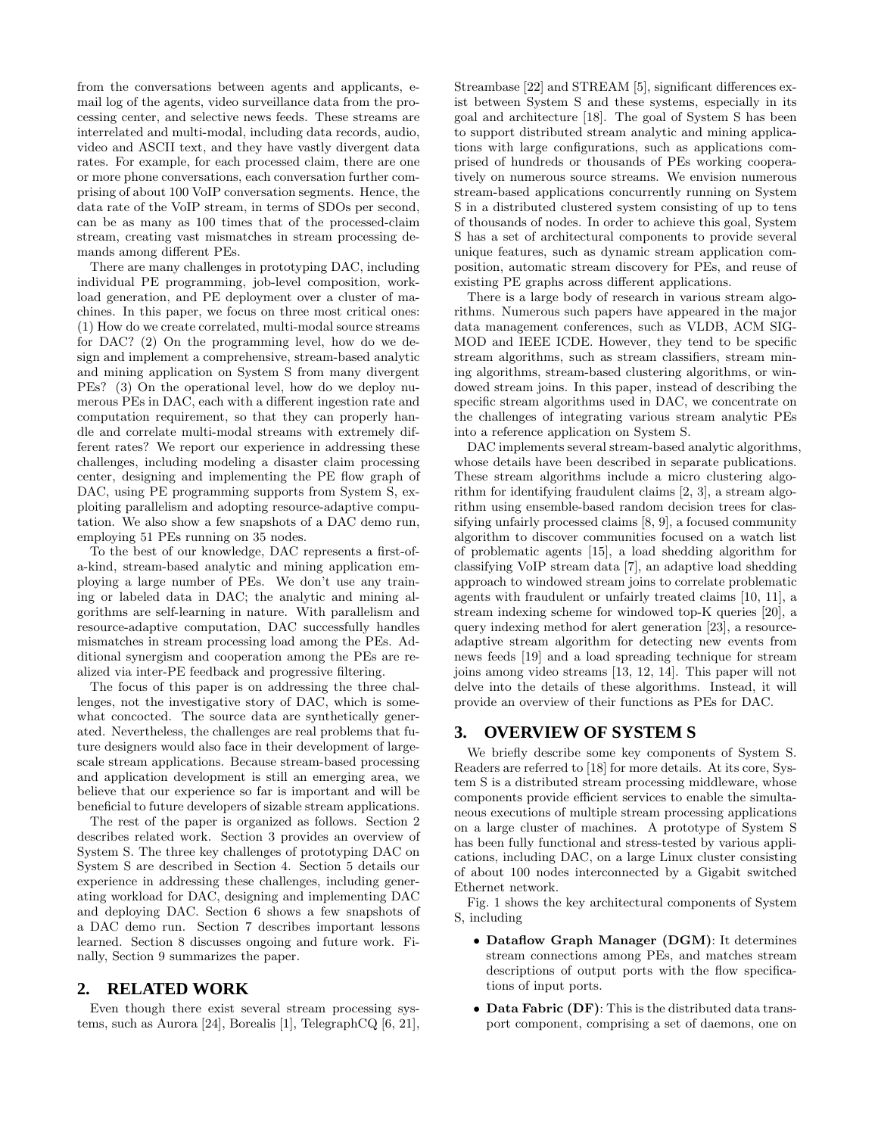from the conversations between agents and applicants, email log of the agents, video surveillance data from the processing center, and selective news feeds. These streams are interrelated and multi-modal, including data records, audio, video and ASCII text, and they have vastly divergent data rates. For example, for each processed claim, there are one or more phone conversations, each conversation further comprising of about 100 VoIP conversation segments. Hence, the data rate of the VoIP stream, in terms of SDOs per second, can be as many as 100 times that of the processed-claim stream, creating vast mismatches in stream processing demands among different PEs.

There are many challenges in prototyping DAC, including individual PE programming, job-level composition, workload generation, and PE deployment over a cluster of machines. In this paper, we focus on three most critical ones: (1) How do we create correlated, multi-modal source streams for DAC? (2) On the programming level, how do we design and implement a comprehensive, stream-based analytic and mining application on System S from many divergent PEs? (3) On the operational level, how do we deploy numerous PEs in DAC, each with a different ingestion rate and computation requirement, so that they can properly handle and correlate multi-modal streams with extremely different rates? We report our experience in addressing these challenges, including modeling a disaster claim processing center, designing and implementing the PE flow graph of DAC, using PE programming supports from System S, exploiting parallelism and adopting resource-adaptive computation. We also show a few snapshots of a DAC demo run, employing 51 PEs running on 35 nodes.

To the best of our knowledge, DAC represents a first-ofa-kind, stream-based analytic and mining application employing a large number of PEs. We don't use any training or labeled data in DAC; the analytic and mining algorithms are self-learning in nature. With parallelism and resource-adaptive computation, DAC successfully handles mismatches in stream processing load among the PEs. Additional synergism and cooperation among the PEs are realized via inter-PE feedback and progressive filtering.

The focus of this paper is on addressing the three challenges, not the investigative story of DAC, which is somewhat concocted. The source data are synthetically generated. Nevertheless, the challenges are real problems that future designers would also face in their development of largescale stream applications. Because stream-based processing and application development is still an emerging area, we believe that our experience so far is important and will be beneficial to future developers of sizable stream applications.

The rest of the paper is organized as follows. Section 2 describes related work. Section 3 provides an overview of System S. The three key challenges of prototyping DAC on System S are described in Section 4. Section 5 details our experience in addressing these challenges, including generating workload for DAC, designing and implementing DAC and deploying DAC. Section 6 shows a few snapshots of a DAC demo run. Section 7 describes important lessons learned. Section 8 discusses ongoing and future work. Finally, Section 9 summarizes the paper.

## **2. RELATED WORK**

Even though there exist several stream processing systems, such as Aurora [24], Borealis [1], TelegraphCQ [6, 21], Streambase [22] and STREAM [5], significant differences exist between System S and these systems, especially in its goal and architecture [18]. The goal of System S has been to support distributed stream analytic and mining applications with large configurations, such as applications comprised of hundreds or thousands of PEs working cooperatively on numerous source streams. We envision numerous stream-based applications concurrently running on System S in a distributed clustered system consisting of up to tens of thousands of nodes. In order to achieve this goal, System S has a set of architectural components to provide several unique features, such as dynamic stream application composition, automatic stream discovery for PEs, and reuse of existing PE graphs across different applications.

There is a large body of research in various stream algorithms. Numerous such papers have appeared in the major data management conferences, such as VLDB, ACM SIG-MOD and IEEE ICDE. However, they tend to be specific stream algorithms, such as stream classifiers, stream mining algorithms, stream-based clustering algorithms, or windowed stream joins. In this paper, instead of describing the specific stream algorithms used in DAC, we concentrate on the challenges of integrating various stream analytic PEs into a reference application on System S.

DAC implements several stream-based analytic algorithms, whose details have been described in separate publications. These stream algorithms include a micro clustering algorithm for identifying fraudulent claims [2, 3], a stream algorithm using ensemble-based random decision trees for classifying unfairly processed claims [8, 9], a focused community algorithm to discover communities focused on a watch list of problematic agents [15], a load shedding algorithm for classifying VoIP stream data [7], an adaptive load shedding approach to windowed stream joins to correlate problematic agents with fraudulent or unfairly treated claims [10, 11], a stream indexing scheme for windowed top-K queries [20], a query indexing method for alert generation [23], a resourceadaptive stream algorithm for detecting new events from news feeds [19] and a load spreading technique for stream joins among video streams [13, 12, 14]. This paper will not delve into the details of these algorithms. Instead, it will provide an overview of their functions as PEs for DAC.

## **3. OVERVIEW OF SYSTEM S**

We briefly describe some key components of System S. Readers are referred to [18] for more details. At its core, System S is a distributed stream processing middleware, whose components provide efficient services to enable the simultaneous executions of multiple stream processing applications on a large cluster of machines. A prototype of System S has been fully functional and stress-tested by various applications, including DAC, on a large Linux cluster consisting of about 100 nodes interconnected by a Gigabit switched Ethernet network.

Fig. 1 shows the key architectural components of System S, including

- Dataflow Graph Manager (DGM): It determines stream connections among PEs, and matches stream descriptions of output ports with the flow specifications of input ports.
- Data Fabric (DF): This is the distributed data transport component, comprising a set of daemons, one on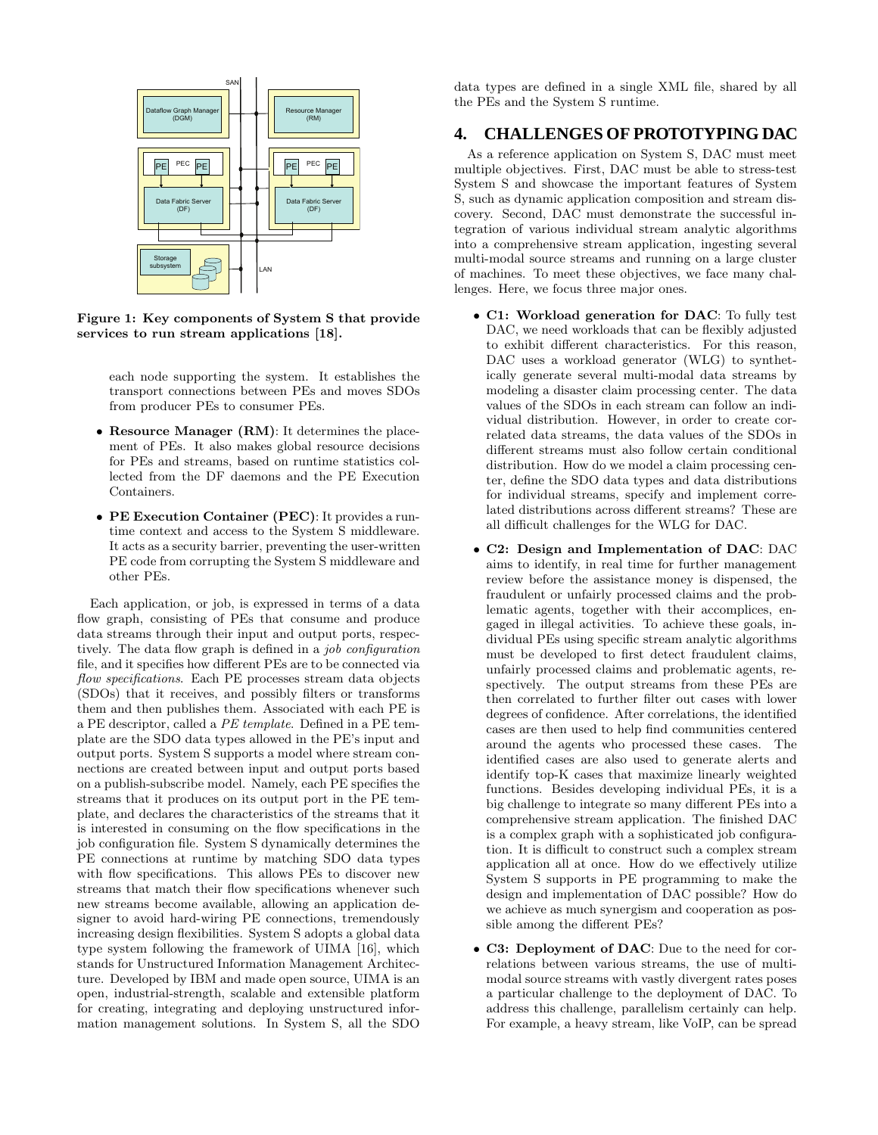

Figure 1: Key components of System S that provide services to run stream applications [18].

each node supporting the system. It establishes the transport connections between PEs and moves SDOs from producer PEs to consumer PEs.

- Resource Manager (RM): It determines the placement of PEs. It also makes global resource decisions for PEs and streams, based on runtime statistics collected from the DF daemons and the PE Execution Containers.
- PE Execution Container (PEC): It provides a runtime context and access to the System S middleware. It acts as a security barrier, preventing the user-written PE code from corrupting the System S middleware and other PEs.

Each application, or job, is expressed in terms of a data flow graph, consisting of PEs that consume and produce data streams through their input and output ports, respectively. The data flow graph is defined in a *job configuration* file, and it specifies how different PEs are to be connected via flow specifications. Each PE processes stream data objects (SDOs) that it receives, and possibly filters or transforms them and then publishes them. Associated with each PE is a PE descriptor, called a PE template. Defined in a PE template are the SDO data types allowed in the PE's input and output ports. System S supports a model where stream connections are created between input and output ports based on a publish-subscribe model. Namely, each PE specifies the streams that it produces on its output port in the PE template, and declares the characteristics of the streams that it is interested in consuming on the flow specifications in the job configuration file. System S dynamically determines the PE connections at runtime by matching SDO data types with flow specifications. This allows PEs to discover new streams that match their flow specifications whenever such new streams become available, allowing an application designer to avoid hard-wiring PE connections, tremendously increasing design flexibilities. System S adopts a global data type system following the framework of UIMA [16], which stands for Unstructured Information Management Architecture. Developed by IBM and made open source, UIMA is an open, industrial-strength, scalable and extensible platform for creating, integrating and deploying unstructured information management solutions. In System S, all the SDO

data types are defined in a single XML file, shared by all the PEs and the System S runtime.

# **4. CHALLENGES OF PROTOTYPING DAC**

As a reference application on System S, DAC must meet multiple objectives. First, DAC must be able to stress-test System S and showcase the important features of System S, such as dynamic application composition and stream discovery. Second, DAC must demonstrate the successful integration of various individual stream analytic algorithms into a comprehensive stream application, ingesting several multi-modal source streams and running on a large cluster of machines. To meet these objectives, we face many challenges. Here, we focus three major ones.

- C1: Workload generation for DAC: To fully test DAC, we need workloads that can be flexibly adjusted to exhibit different characteristics. For this reason, DAC uses a workload generator (WLG) to synthetically generate several multi-modal data streams by modeling a disaster claim processing center. The data values of the SDOs in each stream can follow an individual distribution. However, in order to create correlated data streams, the data values of the SDOs in different streams must also follow certain conditional distribution. How do we model a claim processing center, define the SDO data types and data distributions for individual streams, specify and implement correlated distributions across different streams? These are all difficult challenges for the WLG for DAC.
- C2: Design and Implementation of DAC: DAC aims to identify, in real time for further management review before the assistance money is dispensed, the fraudulent or unfairly processed claims and the problematic agents, together with their accomplices, engaged in illegal activities. To achieve these goals, individual PEs using specific stream analytic algorithms must be developed to first detect fraudulent claims, unfairly processed claims and problematic agents, respectively. The output streams from these PEs are then correlated to further filter out cases with lower degrees of confidence. After correlations, the identified cases are then used to help find communities centered around the agents who processed these cases. The identified cases are also used to generate alerts and identify top-K cases that maximize linearly weighted functions. Besides developing individual PEs, it is a big challenge to integrate so many different PEs into a comprehensive stream application. The finished DAC is a complex graph with a sophisticated job configuration. It is difficult to construct such a complex stream application all at once. How do we effectively utilize System S supports in PE programming to make the design and implementation of DAC possible? How do we achieve as much synergism and cooperation as possible among the different PEs?
- C3: Deployment of DAC: Due to the need for correlations between various streams, the use of multimodal source streams with vastly divergent rates poses a particular challenge to the deployment of DAC. To address this challenge, parallelism certainly can help. For example, a heavy stream, like VoIP, can be spread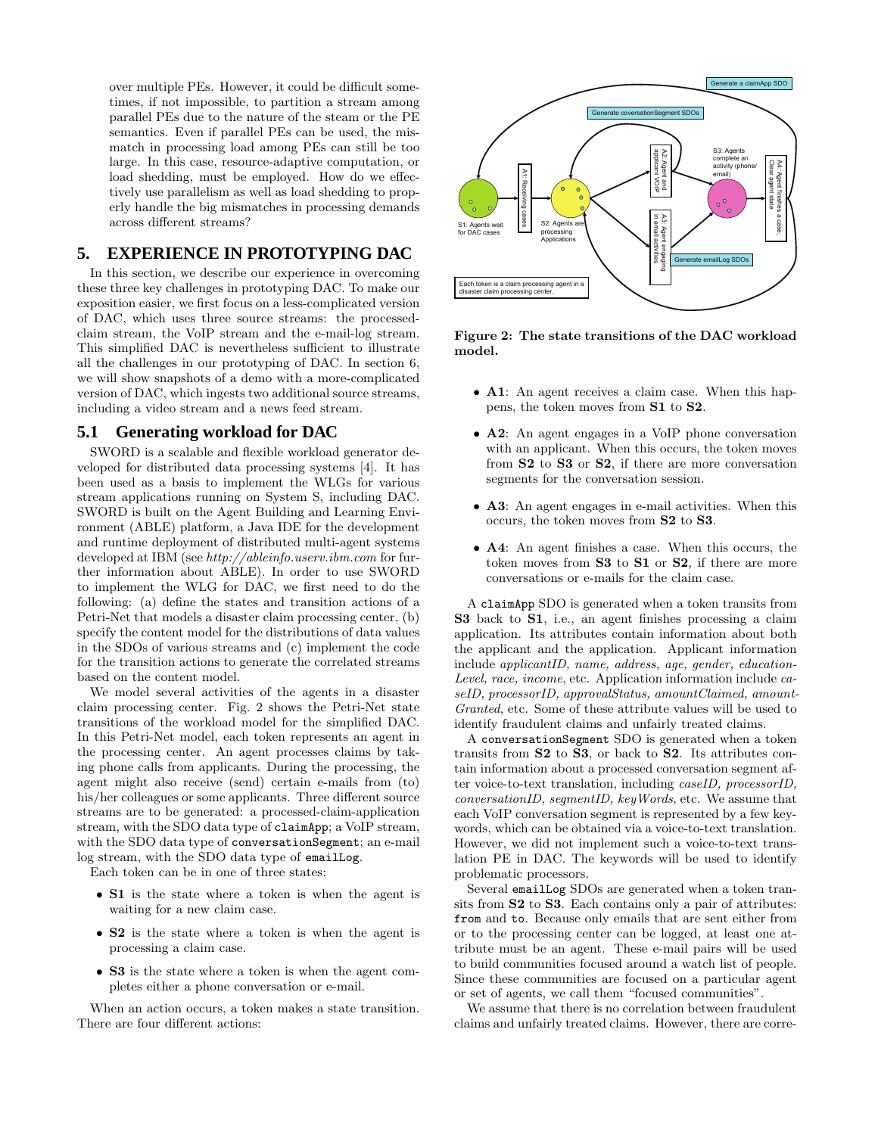over multiple PEs. However, it could be difficult sometimes, if not impossible, to partition a stream among parallel PEs due to the nature of the steam or the PE semantics. Even if parallel PEs can be used, the mismatch in processing load among PEs can still be too large. In this case, resource-adaptive computation, or load shedding, must be employed. How do we effectively use parallelism as well as load shedding to properly handle the big mismatches in processing demands across different streams?

# **5. EXPERIENCE IN PROTOTYPING DAC**

In this section, we describe our experience in overcoming these three key challenges in prototyping DAC. To make our exposition easier, we first focus on a less-complicated version of DAC, which uses three source streams: the processedclaim stream, the VoIP stream and the e-mail-log stream. This simplified DAC is nevertheless sufficient to illustrate all the challenges in our prototyping of DAC. In section 6, we will show snapshots of a demo with a more-complicated version of DAC, which ingests two additional source streams, including a video stream and a news feed stream.

## **5.1 Generating workload for DAC**

SWORD is a scalable and flexible workload generator developed for distributed data processing systems [4]. It has been used as a basis to implement the WLGs for various stream applications running on System S, including DAC. SWORD is built on the Agent Building and Learning Environment (ABLE) platform, a Java IDE for the development and runtime deployment of distributed multi-agent systems developed at IBM (see http://ableinfo.userv.ibm.com for further information about ABLE). In order to use SWORD to implement the WLG for DAC, we first need to do the following: (a) define the states and transition actions of a Petri-Net that models a disaster claim processing center, (b) specify the content model for the distributions of data values in the SDOs of various streams and (c) implement the code for the transition actions to generate the correlated streams based on the content model.

We model several activities of the agents in a disaster claim processing center. Fig. 2 shows the Petri-Net state transitions of the workload model for the simplified DAC. In this Petri-Net model, each token represents an agent in the processing center. An agent processes claims by taking phone calls from applicants. During the processing, the agent might also receive (send) certain e-mails from (to) his/her colleagues or some applicants. Three different source streams are to be generated: a processed-claim-application stream, with the SDO data type of claimApp; a VoIP stream, with the SDO data type of conversationSegment; an e-mail log stream, with the SDO data type of emailLog.

Each token can be in one of three states:

- S1 is the state where a token is when the agent is waiting for a new claim case.
- S2 is the state where a token is when the agent is processing a claim case.
- S3 is the state where a token is when the agent completes either a phone conversation or e-mail.

When an action occurs, a token makes a state transition. There are four different actions:



Figure 2: The state transitions of the DAC workload model.

- A1: An agent receives a claim case. When this happens, the token moves from S1 to S2.
- A2: An agent engages in a VoIP phone conversation with an applicant. When this occurs, the token moves from S2 to S3 or S2, if there are more conversation segments for the conversation session.
- A3: An agent engages in e-mail activities. When this occurs, the token moves from S2 to S3.
- A4: An agent finishes a case. When this occurs, the token moves from S3 to S1 or S2, if there are more conversations or e-mails for the claim case.

A claimApp SDO is generated when a token transits from S3 back to S1, i.e., an agent finishes processing a claim application. Its attributes contain information about both the applicant and the application. Applicant information include applicantID, name, address, age, gender, education-Level, race, income, etc. Application information include caseID, processorID, approvalStatus, amountClaimed, amount-Granted, etc. Some of these attribute values will be used to identify fraudulent claims and unfairly treated claims.

A conversationSegment SDO is generated when a token transits from S2 to S3, or back to S2. Its attributes contain information about a processed conversation segment after voice-to-text translation, including caseID, processorID, conversationID, segmentID, keyWords, etc. We assume that each VoIP conversation segment is represented by a few keywords, which can be obtained via a voice-to-text translation. However, we did not implement such a voice-to-text translation PE in DAC. The keywords will be used to identify problematic processors.

Several emailLog SDOs are generated when a token transits from S2 to S3. Each contains only a pair of attributes: from and to. Because only emails that are sent either from or to the processing center can be logged, at least one attribute must be an agent. These e-mail pairs will be used to build communities focused around a watch list of people. Since these communities are focused on a particular agent or set of agents, we call them "focused communities".

We assume that there is no correlation between fraudulent claims and unfairly treated claims. However, there are corre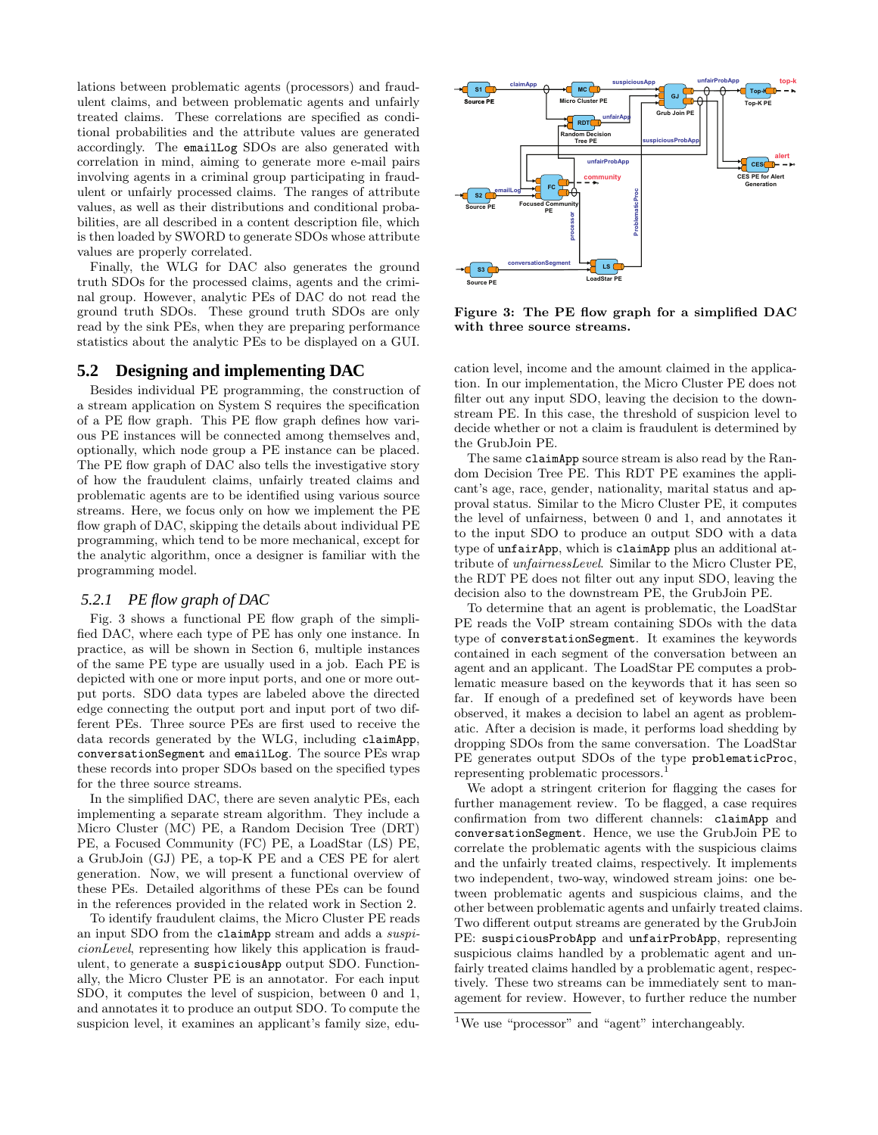lations between problematic agents (processors) and fraudulent claims, and between problematic agents and unfairly treated claims. These correlations are specified as conditional probabilities and the attribute values are generated accordingly. The emailLog SDOs are also generated with correlation in mind, aiming to generate more e-mail pairs involving agents in a criminal group participating in fraudulent or unfairly processed claims. The ranges of attribute values, as well as their distributions and conditional probabilities, are all described in a content description file, which is then loaded by SWORD to generate SDOs whose attribute values are properly correlated.

Finally, the WLG for DAC also generates the ground truth SDOs for the processed claims, agents and the criminal group. However, analytic PEs of DAC do not read the ground truth SDOs. These ground truth SDOs are only read by the sink PEs, when they are preparing performance statistics about the analytic PEs to be displayed on a GUI.

## **5.2 Designing and implementing DAC**

Besides individual PE programming, the construction of a stream application on System S requires the specification of a PE flow graph. This PE flow graph defines how various PE instances will be connected among themselves and, optionally, which node group a PE instance can be placed. The PE flow graph of DAC also tells the investigative story of how the fraudulent claims, unfairly treated claims and problematic agents are to be identified using various source streams. Here, we focus only on how we implement the PE flow graph of DAC, skipping the details about individual PE programming, which tend to be more mechanical, except for the analytic algorithm, once a designer is familiar with the programming model.

#### *5.2.1 PE flow graph of DAC*

Fig. 3 shows a functional PE flow graph of the simplified DAC, where each type of PE has only one instance. In practice, as will be shown in Section 6, multiple instances of the same PE type are usually used in a job. Each PE is depicted with one or more input ports, and one or more output ports. SDO data types are labeled above the directed edge connecting the output port and input port of two different PEs. Three source PEs are first used to receive the data records generated by the WLG, including claimApp, conversationSegment and emailLog. The source PEs wrap these records into proper SDOs based on the specified types for the three source streams.

In the simplified DAC, there are seven analytic PEs, each implementing a separate stream algorithm. They include a Micro Cluster (MC) PE, a Random Decision Tree (DRT) PE, a Focused Community (FC) PE, a LoadStar (LS) PE, a GrubJoin (GJ) PE, a top-K PE and a CES PE for alert generation. Now, we will present a functional overview of these PEs. Detailed algorithms of these PEs can be found in the references provided in the related work in Section 2.

To identify fraudulent claims, the Micro Cluster PE reads an input SDO from the claimApp stream and adds a suspicionLevel, representing how likely this application is fraudulent, to generate a suspiciousApp output SDO. Functionally, the Micro Cluster PE is an annotator. For each input SDO, it computes the level of suspicion, between 0 and 1, and annotates it to produce an output SDO. To compute the suspicion level, it examines an applicant's family size, edu-



Figure 3: The PE flow graph for a simplified DAC with three source streams.

cation level, income and the amount claimed in the application. In our implementation, the Micro Cluster PE does not filter out any input SDO, leaving the decision to the downstream PE. In this case, the threshold of suspicion level to decide whether or not a claim is fraudulent is determined by the GrubJoin PE.

The same claimApp source stream is also read by the Random Decision Tree PE. This RDT PE examines the applicant's age, race, gender, nationality, marital status and approval status. Similar to the Micro Cluster PE, it computes the level of unfairness, between 0 and 1, and annotates it to the input SDO to produce an output SDO with a data type of unfairApp, which is claimApp plus an additional attribute of unfairnessLevel. Similar to the Micro Cluster PE, the RDT PE does not filter out any input SDO, leaving the decision also to the downstream PE, the GrubJoin PE.

To determine that an agent is problematic, the LoadStar PE reads the VoIP stream containing SDOs with the data type of converstationSegment. It examines the keywords contained in each segment of the conversation between an agent and an applicant. The LoadStar PE computes a problematic measure based on the keywords that it has seen so far. If enough of a predefined set of keywords have been observed, it makes a decision to label an agent as problematic. After a decision is made, it performs load shedding by dropping SDOs from the same conversation. The LoadStar PE generates output SDOs of the type problematicProc, representing problematic processors.

We adopt a stringent criterion for flagging the cases for further management review. To be flagged, a case requires confirmation from two different channels: claimApp and conversationSegment. Hence, we use the GrubJoin PE to correlate the problematic agents with the suspicious claims and the unfairly treated claims, respectively. It implements two independent, two-way, windowed stream joins: one between problematic agents and suspicious claims, and the other between problematic agents and unfairly treated claims. Two different output streams are generated by the GrubJoin PE: suspiciousProbApp and unfairProbApp, representing suspicious claims handled by a problematic agent and unfairly treated claims handled by a problematic agent, respectively. These two streams can be immediately sent to management for review. However, to further reduce the number

<sup>&</sup>lt;sup>1</sup>We use "processor" and "agent" interchangeably.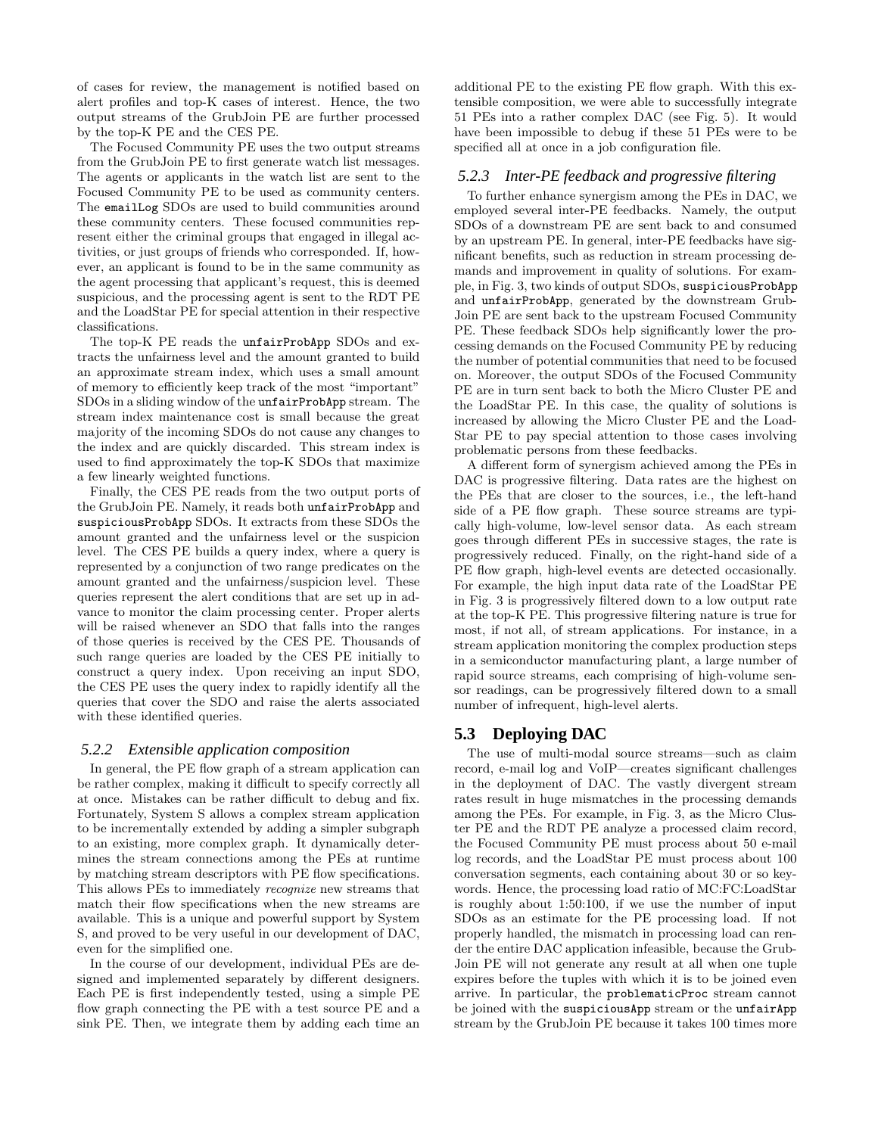of cases for review, the management is notified based on alert profiles and top-K cases of interest. Hence, the two output streams of the GrubJoin PE are further processed by the top-K PE and the CES PE.

The Focused Community PE uses the two output streams from the GrubJoin PE to first generate watch list messages. The agents or applicants in the watch list are sent to the Focused Community PE to be used as community centers. The emailLog SDOs are used to build communities around these community centers. These focused communities represent either the criminal groups that engaged in illegal activities, or just groups of friends who corresponded. If, however, an applicant is found to be in the same community as the agent processing that applicant's request, this is deemed suspicious, and the processing agent is sent to the RDT PE and the LoadStar PE for special attention in their respective classifications.

The top-K PE reads the unfairProbApp SDOs and extracts the unfairness level and the amount granted to build an approximate stream index, which uses a small amount of memory to efficiently keep track of the most "important" SDOs in a sliding window of the unfairProbApp stream. The stream index maintenance cost is small because the great majority of the incoming SDOs do not cause any changes to the index and are quickly discarded. This stream index is used to find approximately the top-K SDOs that maximize a few linearly weighted functions.

Finally, the CES PE reads from the two output ports of the GrubJoin PE. Namely, it reads both unfairProbApp and suspiciousProbApp SDOs. It extracts from these SDOs the amount granted and the unfairness level or the suspicion level. The CES PE builds a query index, where a query is represented by a conjunction of two range predicates on the amount granted and the unfairness/suspicion level. These queries represent the alert conditions that are set up in advance to monitor the claim processing center. Proper alerts will be raised whenever an SDO that falls into the ranges of those queries is received by the CES PE. Thousands of such range queries are loaded by the CES PE initially to construct a query index. Upon receiving an input SDO, the CES PE uses the query index to rapidly identify all the queries that cover the SDO and raise the alerts associated with these identified queries.

#### *5.2.2 Extensible application composition*

In general, the PE flow graph of a stream application can be rather complex, making it difficult to specify correctly all at once. Mistakes can be rather difficult to debug and fix. Fortunately, System S allows a complex stream application to be incrementally extended by adding a simpler subgraph to an existing, more complex graph. It dynamically determines the stream connections among the PEs at runtime by matching stream descriptors with PE flow specifications. This allows PEs to immediately recognize new streams that match their flow specifications when the new streams are available. This is a unique and powerful support by System S, and proved to be very useful in our development of DAC, even for the simplified one.

In the course of our development, individual PEs are designed and implemented separately by different designers. Each PE is first independently tested, using a simple PE flow graph connecting the PE with a test source PE and a sink PE. Then, we integrate them by adding each time an

additional PE to the existing PE flow graph. With this extensible composition, we were able to successfully integrate 51 PEs into a rather complex DAC (see Fig. 5). It would have been impossible to debug if these 51 PEs were to be specified all at once in a job configuration file.

## *5.2.3 Inter-PE feedback and progressive filtering*

To further enhance synergism among the PEs in DAC, we employed several inter-PE feedbacks. Namely, the output SDOs of a downstream PE are sent back to and consumed by an upstream PE. In general, inter-PE feedbacks have significant benefits, such as reduction in stream processing demands and improvement in quality of solutions. For example, in Fig. 3, two kinds of output SDOs, suspiciousProbApp and unfairProbApp, generated by the downstream Grub-Join PE are sent back to the upstream Focused Community PE. These feedback SDOs help significantly lower the processing demands on the Focused Community PE by reducing the number of potential communities that need to be focused on. Moreover, the output SDOs of the Focused Community PE are in turn sent back to both the Micro Cluster PE and the LoadStar PE. In this case, the quality of solutions is increased by allowing the Micro Cluster PE and the Load-Star PE to pay special attention to those cases involving problematic persons from these feedbacks.

A different form of synergism achieved among the PEs in DAC is progressive filtering. Data rates are the highest on the PEs that are closer to the sources, i.e., the left-hand side of a PE flow graph. These source streams are typically high-volume, low-level sensor data. As each stream goes through different PEs in successive stages, the rate is progressively reduced. Finally, on the right-hand side of a PE flow graph, high-level events are detected occasionally. For example, the high input data rate of the LoadStar PE in Fig. 3 is progressively filtered down to a low output rate at the top-K PE. This progressive filtering nature is true for most, if not all, of stream applications. For instance, in a stream application monitoring the complex production steps in a semiconductor manufacturing plant, a large number of rapid source streams, each comprising of high-volume sensor readings, can be progressively filtered down to a small number of infrequent, high-level alerts.

# **5.3 Deploying DAC**

The use of multi-modal source streams—such as claim record, e-mail log and VoIP—creates significant challenges in the deployment of DAC. The vastly divergent stream rates result in huge mismatches in the processing demands among the PEs. For example, in Fig. 3, as the Micro Cluster PE and the RDT PE analyze a processed claim record, the Focused Community PE must process about 50 e-mail log records, and the LoadStar PE must process about 100 conversation segments, each containing about 30 or so keywords. Hence, the processing load ratio of MC:FC:LoadStar is roughly about 1:50:100, if we use the number of input SDOs as an estimate for the PE processing load. If not properly handled, the mismatch in processing load can render the entire DAC application infeasible, because the Grub-Join PE will not generate any result at all when one tuple expires before the tuples with which it is to be joined even arrive. In particular, the problematicProc stream cannot be joined with the suspiciousApp stream or the unfairApp stream by the GrubJoin PE because it takes 100 times more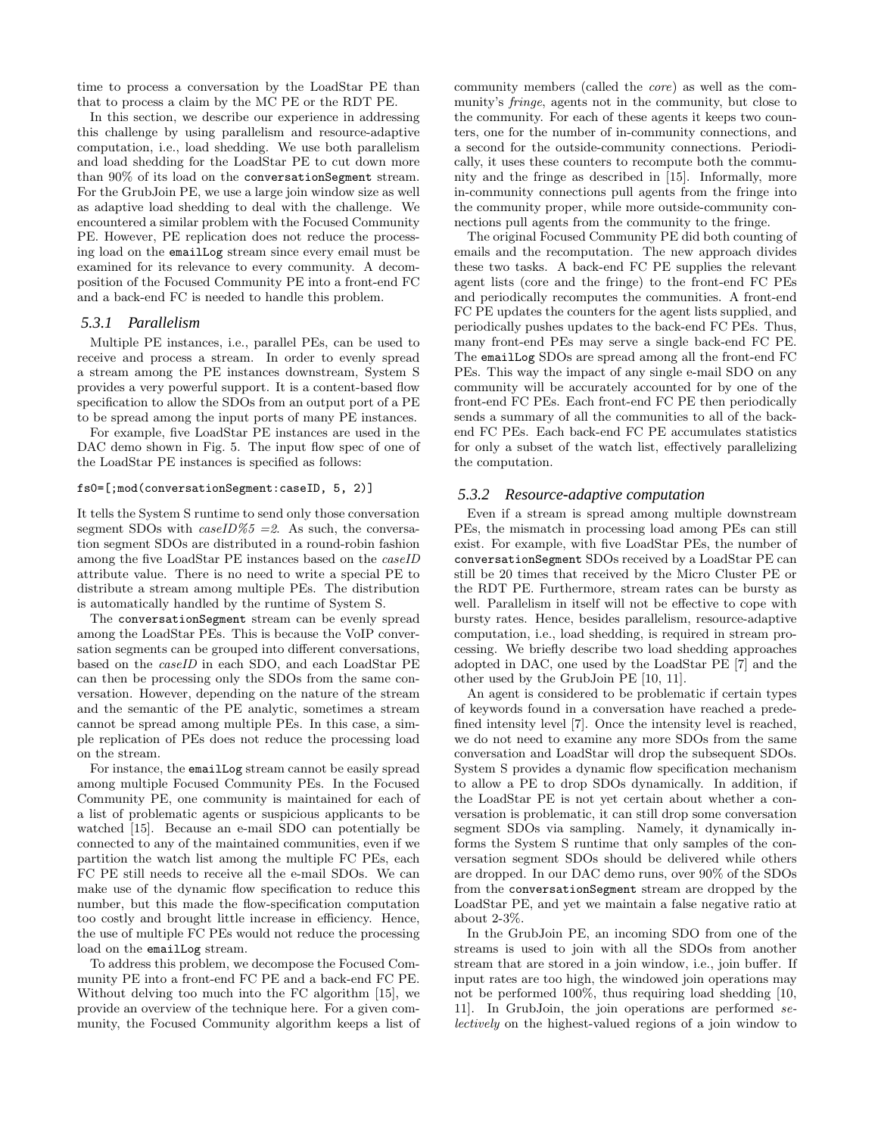time to process a conversation by the LoadStar PE than that to process a claim by the MC PE or the RDT PE.

In this section, we describe our experience in addressing this challenge by using parallelism and resource-adaptive computation, i.e., load shedding. We use both parallelism and load shedding for the LoadStar PE to cut down more than 90% of its load on the conversationSegment stream. For the GrubJoin PE, we use a large join window size as well as adaptive load shedding to deal with the challenge. We encountered a similar problem with the Focused Community PE. However, PE replication does not reduce the processing load on the emailLog stream since every email must be examined for its relevance to every community. A decomposition of the Focused Community PE into a front-end FC and a back-end FC is needed to handle this problem.

#### *5.3.1 Parallelism*

Multiple PE instances, i.e., parallel PEs, can be used to receive and process a stream. In order to evenly spread a stream among the PE instances downstream, System S provides a very powerful support. It is a content-based flow specification to allow the SDOs from an output port of a PE to be spread among the input ports of many PE instances.

For example, five LoadStar PE instances are used in the DAC demo shown in Fig. 5. The input flow spec of one of the LoadStar PE instances is specified as follows:

#### fs0=[;mod(conversationSegment:caseID, 5, 2)]

It tells the System S runtime to send only those conversation segment SDOs with  $caseID\%5 = 2$ . As such, the conversation segment SDOs are distributed in a round-robin fashion among the five LoadStar PE instances based on the caseID attribute value. There is no need to write a special PE to distribute a stream among multiple PEs. The distribution is automatically handled by the runtime of System S.

The conversationSegment stream can be evenly spread among the LoadStar PEs. This is because the VoIP conversation segments can be grouped into different conversations, based on the caseID in each SDO, and each LoadStar PE can then be processing only the SDOs from the same conversation. However, depending on the nature of the stream and the semantic of the PE analytic, sometimes a stream cannot be spread among multiple PEs. In this case, a simple replication of PEs does not reduce the processing load on the stream.

For instance, the emailLog stream cannot be easily spread among multiple Focused Community PEs. In the Focused Community PE, one community is maintained for each of a list of problematic agents or suspicious applicants to be watched [15]. Because an e-mail SDO can potentially be connected to any of the maintained communities, even if we partition the watch list among the multiple FC PEs, each FC PE still needs to receive all the e-mail SDOs. We can make use of the dynamic flow specification to reduce this number, but this made the flow-specification computation too costly and brought little increase in efficiency. Hence, the use of multiple FC PEs would not reduce the processing load on the emailLog stream.

To address this problem, we decompose the Focused Community PE into a front-end FC PE and a back-end FC PE. Without delving too much into the FC algorithm [15], we provide an overview of the technique here. For a given community, the Focused Community algorithm keeps a list of community members (called the core) as well as the community's fringe, agents not in the community, but close to the community. For each of these agents it keeps two counters, one for the number of in-community connections, and a second for the outside-community connections. Periodically, it uses these counters to recompute both the community and the fringe as described in [15]. Informally, more in-community connections pull agents from the fringe into the community proper, while more outside-community connections pull agents from the community to the fringe.

The original Focused Community PE did both counting of emails and the recomputation. The new approach divides these two tasks. A back-end FC PE supplies the relevant agent lists (core and the fringe) to the front-end FC PEs and periodically recomputes the communities. A front-end FC PE updates the counters for the agent lists supplied, and periodically pushes updates to the back-end FC PEs. Thus, many front-end PEs may serve a single back-end FC PE. The emailLog SDOs are spread among all the front-end FC PEs. This way the impact of any single e-mail SDO on any community will be accurately accounted for by one of the front-end FC PEs. Each front-end FC PE then periodically sends a summary of all the communities to all of the backend FC PEs. Each back-end FC PE accumulates statistics for only a subset of the watch list, effectively parallelizing the computation.

#### *5.3.2 Resource-adaptive computation*

Even if a stream is spread among multiple downstream PEs, the mismatch in processing load among PEs can still exist. For example, with five LoadStar PEs, the number of conversationSegment SDOs received by a LoadStar PE can still be 20 times that received by the Micro Cluster PE or the RDT PE. Furthermore, stream rates can be bursty as well. Parallelism in itself will not be effective to cope with bursty rates. Hence, besides parallelism, resource-adaptive computation, i.e., load shedding, is required in stream processing. We briefly describe two load shedding approaches adopted in DAC, one used by the LoadStar PE [7] and the other used by the GrubJoin PE [10, 11].

An agent is considered to be problematic if certain types of keywords found in a conversation have reached a predefined intensity level [7]. Once the intensity level is reached, we do not need to examine any more SDOs from the same conversation and LoadStar will drop the subsequent SDOs. System S provides a dynamic flow specification mechanism to allow a PE to drop SDOs dynamically. In addition, if the LoadStar PE is not yet certain about whether a conversation is problematic, it can still drop some conversation segment SDOs via sampling. Namely, it dynamically informs the System S runtime that only samples of the conversation segment SDOs should be delivered while others are dropped. In our DAC demo runs, over 90% of the SDOs from the conversationSegment stream are dropped by the LoadStar PE, and yet we maintain a false negative ratio at about 2-3%.

In the GrubJoin PE, an incoming SDO from one of the streams is used to join with all the SDOs from another stream that are stored in a join window, i.e., join buffer. If input rates are too high, the windowed join operations may not be performed 100%, thus requiring load shedding [10, 11]. In GrubJoin, the join operations are performed selectively on the highest-valued regions of a join window to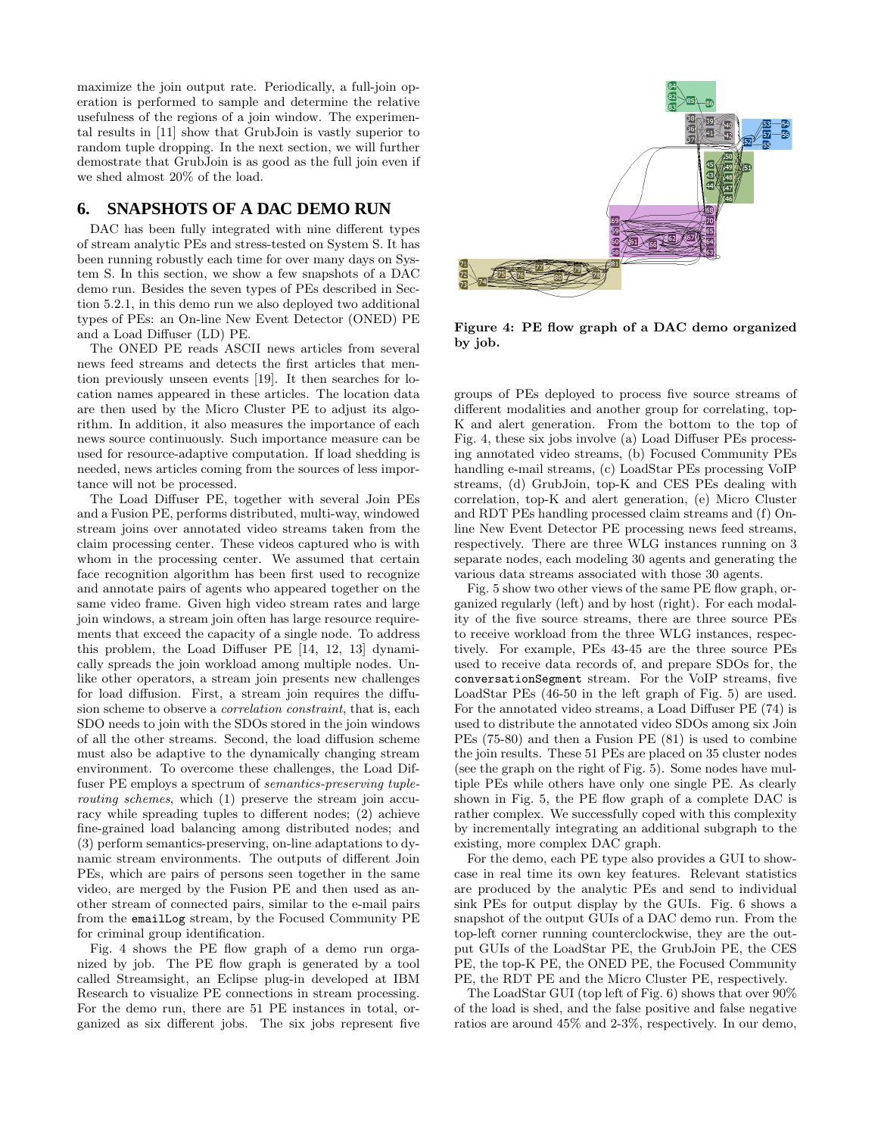maximize the join output rate. Periodically, a full-join operation is performed to sample and determine the relative usefulness of the regions of a join window. The experimental results in [11] show that GrubJoin is vastly superior to random tuple dropping. In the next section, we will further demostrate that GrubJoin is as good as the full join even if we shed almost 20% of the load.

# **6. SNAPSHOTS OF A DAC DEMO RUN**

DAC has been fully integrated with nine different types of stream analytic PEs and stress-tested on System S. It has been running robustly each time for over many days on System S. In this section, we show a few snapshots of a DAC demo run. Besides the seven types of PEs described in Section 5.2.1, in this demo run we also deployed two additional types of PEs: an On-line New Event Detector (ONED) PE and a Load Diffuser (LD) PE.

The ONED PE reads ASCII news articles from several news feed streams and detects the first articles that mention previously unseen events [19]. It then searches for location names appeared in these articles. The location data are then used by the Micro Cluster PE to adjust its algorithm. In addition, it also measures the importance of each news source continuously. Such importance measure can be used for resource-adaptive computation. If load shedding is needed, news articles coming from the sources of less importance will not be processed.

The Load Diffuser PE, together with several Join PEs and a Fusion PE, performs distributed, multi-way, windowed stream joins over annotated video streams taken from the claim processing center. These videos captured who is with whom in the processing center. We assumed that certain face recognition algorithm has been first used to recognize and annotate pairs of agents who appeared together on the same video frame. Given high video stream rates and large join windows, a stream join often has large resource requirements that exceed the capacity of a single node. To address this problem, the Load Diffuser PE [14, 12, 13] dynamically spreads the join workload among multiple nodes. Unlike other operators, a stream join presents new challenges for load diffusion. First, a stream join requires the diffusion scheme to observe a correlation constraint, that is, each SDO needs to join with the SDOs stored in the join windows of all the other streams. Second, the load diffusion scheme must also be adaptive to the dynamically changing stream environment. To overcome these challenges, the Load Diffuser PE employs a spectrum of semantics-preserving tuplerouting schemes, which (1) preserve the stream join accuracy while spreading tuples to different nodes; (2) achieve fine-grained load balancing among distributed nodes; and (3) perform semantics-preserving, on-line adaptations to dynamic stream environments. The outputs of different Join PEs, which are pairs of persons seen together in the same video, are merged by the Fusion PE and then used as another stream of connected pairs, similar to the e-mail pairs from the emailLog stream, by the Focused Community PE for criminal group identification.

Fig. 4 shows the PE flow graph of a demo run organized by job. The PE flow graph is generated by a tool called Streamsight, an Eclipse plug-in developed at IBM Research to visualize PE connections in stream processing. For the demo run, there are 51 PE instances in total, organized as six different jobs. The six jobs represent five



Figure 4: PE flow graph of a DAC demo organized by job.

groups of PEs deployed to process five source streams of different modalities and another group for correlating, top-K and alert generation. From the bottom to the top of Fig. 4, these six jobs involve (a) Load Diffuser PEs processing annotated video streams, (b) Focused Community PEs handling e-mail streams, (c) LoadStar PEs processing VoIP streams, (d) GrubJoin, top-K and CES PEs dealing with correlation, top-K and alert generation, (e) Micro Cluster and RDT PEs handling processed claim streams and (f) Online New Event Detector PE processing news feed streams, respectively. There are three WLG instances running on 3 separate nodes, each modeling 30 agents and generating the various data streams associated with those 30 agents.

Fig. 5 show two other views of the same PE flow graph, organized regularly (left) and by host (right). For each modality of the five source streams, there are three source PEs to receive workload from the three WLG instances, respectively. For example, PEs 43-45 are the three source PEs used to receive data records of, and prepare SDOs for, the conversationSegment stream. For the VoIP streams, five LoadStar PEs (46-50 in the left graph of Fig. 5) are used. For the annotated video streams, a Load Diffuser PE (74) is used to distribute the annotated video SDOs among six Join PEs (75-80) and then a Fusion PE (81) is used to combine the join results. These 51 PEs are placed on 35 cluster nodes (see the graph on the right of Fig. 5). Some nodes have multiple PEs while others have only one single PE. As clearly shown in Fig. 5, the PE flow graph of a complete DAC is rather complex. We successfully coped with this complexity by incrementally integrating an additional subgraph to the existing, more complex DAC graph.

For the demo, each PE type also provides a GUI to showcase in real time its own key features. Relevant statistics are produced by the analytic PEs and send to individual sink PEs for output display by the GUIs. Fig. 6 shows a snapshot of the output GUIs of a DAC demo run. From the top-left corner running counterclockwise, they are the output GUIs of the LoadStar PE, the GrubJoin PE, the CES PE, the top-K PE, the ONED PE, the Focused Community PE, the RDT PE and the Micro Cluster PE, respectively.

The LoadStar GUI (top left of Fig. 6) shows that over 90% of the load is shed, and the false positive and false negative ratios are around 45% and 2-3%, respectively. In our demo,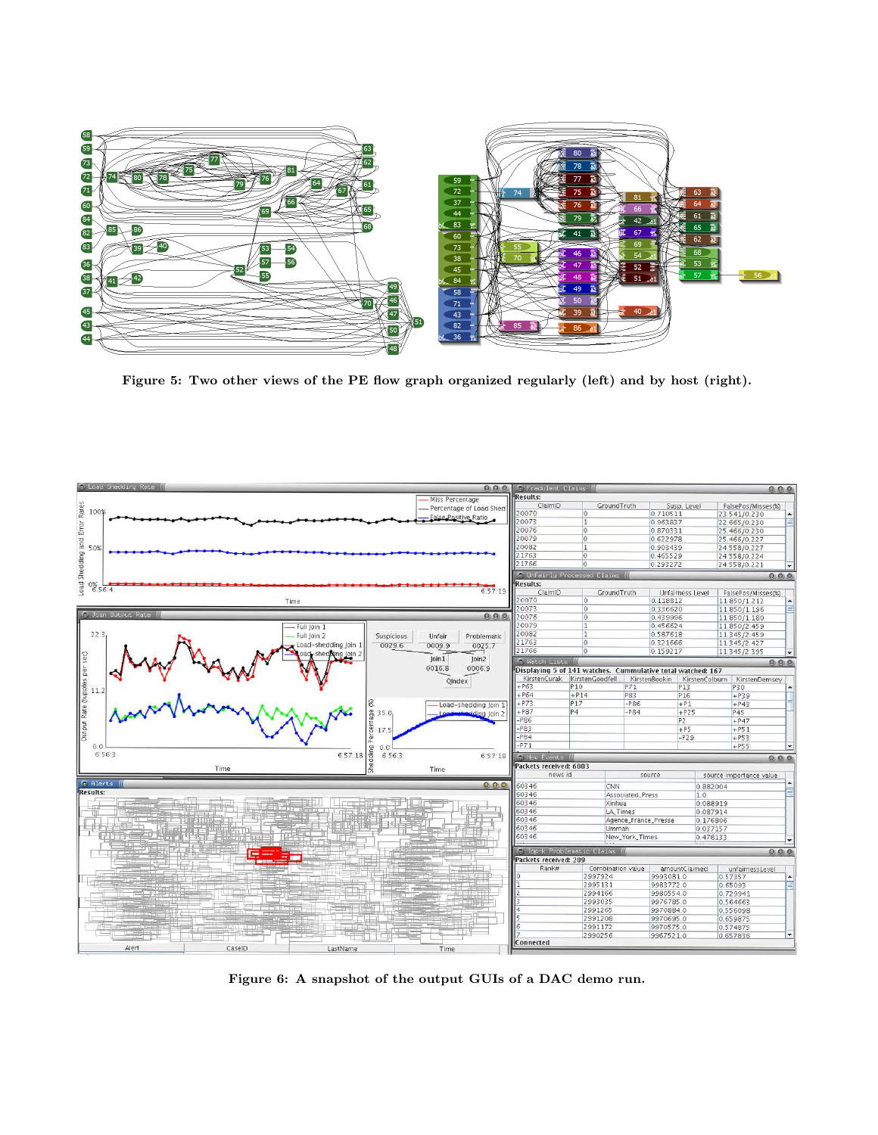

Figure 5: Two other views of the PE flow graph organized regularly (left) and by host (right).



Figure 6: A snapshot of the output GUIs of a DAC demo run.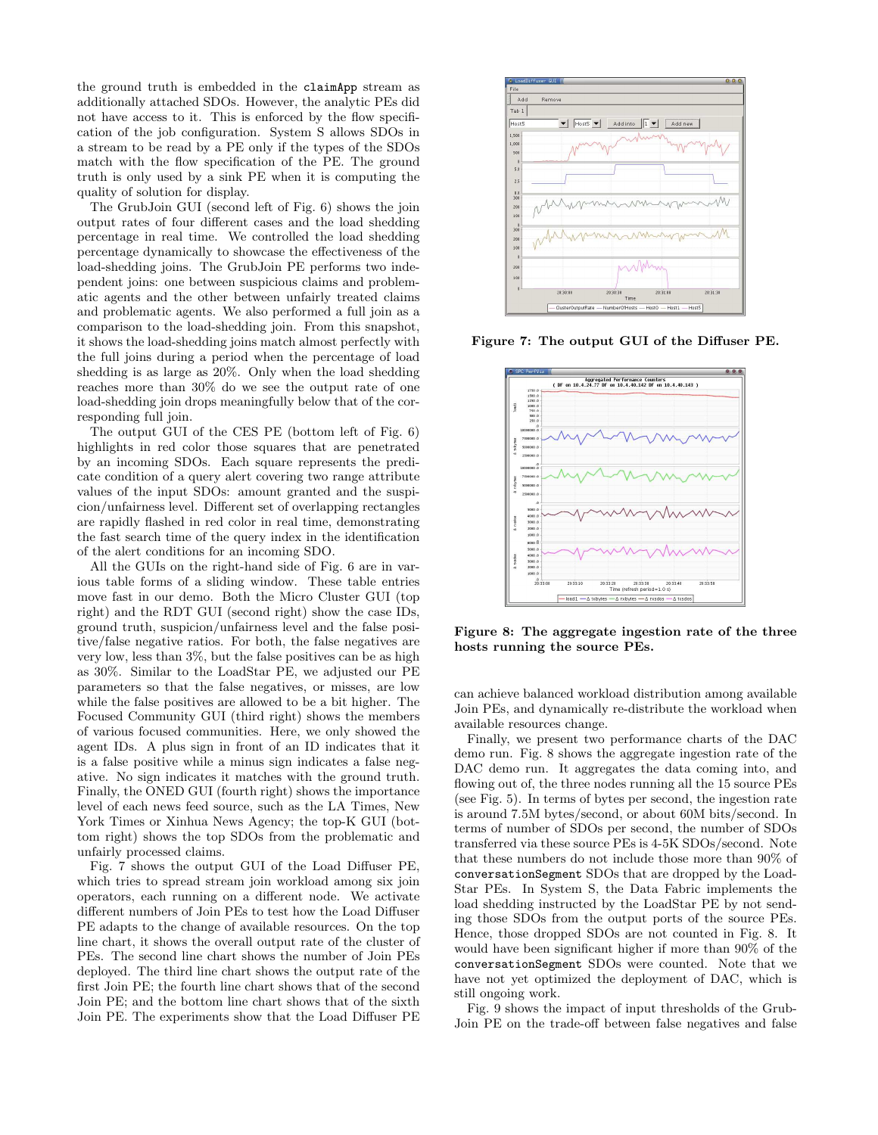the ground truth is embedded in the claimApp stream as additionally attached SDOs. However, the analytic PEs did not have access to it. This is enforced by the flow specification of the job configuration. System S allows SDOs in a stream to be read by a PE only if the types of the SDOs match with the flow specification of the PE. The ground truth is only used by a sink PE when it is computing the quality of solution for display.

The GrubJoin GUI (second left of Fig. 6) shows the join output rates of four different cases and the load shedding percentage in real time. We controlled the load shedding percentage dynamically to showcase the effectiveness of the load-shedding joins. The GrubJoin PE performs two independent joins: one between suspicious claims and problematic agents and the other between unfairly treated claims and problematic agents. We also performed a full join as a comparison to the load-shedding join. From this snapshot, it shows the load-shedding joins match almost perfectly with the full joins during a period when the percentage of load shedding is as large as 20%. Only when the load shedding reaches more than 30% do we see the output rate of one load-shedding join drops meaningfully below that of the corresponding full join.

The output GUI of the CES PE (bottom left of Fig. 6) highlights in red color those squares that are penetrated by an incoming SDOs. Each square represents the predicate condition of a query alert covering two range attribute values of the input SDOs: amount granted and the suspicion/unfairness level. Different set of overlapping rectangles are rapidly flashed in red color in real time, demonstrating the fast search time of the query index in the identification of the alert conditions for an incoming SDO.

All the GUIs on the right-hand side of Fig. 6 are in various table forms of a sliding window. These table entries move fast in our demo. Both the Micro Cluster GUI (top right) and the RDT GUI (second right) show the case IDs, ground truth, suspicion/unfairness level and the false positive/false negative ratios. For both, the false negatives are very low, less than 3%, but the false positives can be as high as 30%. Similar to the LoadStar PE, we adjusted our PE parameters so that the false negatives, or misses, are low while the false positives are allowed to be a bit higher. The Focused Community GUI (third right) shows the members of various focused communities. Here, we only showed the agent IDs. A plus sign in front of an ID indicates that it is a false positive while a minus sign indicates a false negative. No sign indicates it matches with the ground truth. Finally, the ONED GUI (fourth right) shows the importance level of each news feed source, such as the LA Times, New York Times or Xinhua News Agency; the top-K GUI (bottom right) shows the top SDOs from the problematic and unfairly processed claims.

Fig. 7 shows the output GUI of the Load Diffuser PE, which tries to spread stream join workload among six join operators, each running on a different node. We activate different numbers of Join PEs to test how the Load Diffuser PE adapts to the change of available resources. On the top line chart, it shows the overall output rate of the cluster of PEs. The second line chart shows the number of Join PEs deployed. The third line chart shows the output rate of the first Join PE; the fourth line chart shows that of the second Join PE; and the bottom line chart shows that of the sixth Join PE. The experiments show that the Load Diffuser PE



Figure 7: The output GUI of the Diffuser PE.



Figure 8: The aggregate ingestion rate of the three hosts running the source PEs.

can achieve balanced workload distribution among available Join PEs, and dynamically re-distribute the workload when available resources change.

Finally, we present two performance charts of the DAC demo run. Fig. 8 shows the aggregate ingestion rate of the DAC demo run. It aggregates the data coming into, and flowing out of, the three nodes running all the 15 source PEs (see Fig. 5). In terms of bytes per second, the ingestion rate is around 7.5M bytes/second, or about 60M bits/second. In terms of number of SDOs per second, the number of SDOs transferred via these source PEs is 4-5K SDOs/second. Note that these numbers do not include those more than 90% of conversationSegment SDOs that are dropped by the Load-Star PEs. In System S, the Data Fabric implements the load shedding instructed by the LoadStar PE by not sending those SDOs from the output ports of the source PEs. Hence, those dropped SDOs are not counted in Fig. 8. It would have been significant higher if more than 90% of the conversationSegment SDOs were counted. Note that we have not yet optimized the deployment of DAC, which is still ongoing work.

Fig. 9 shows the impact of input thresholds of the Grub-Join PE on the trade-off between false negatives and false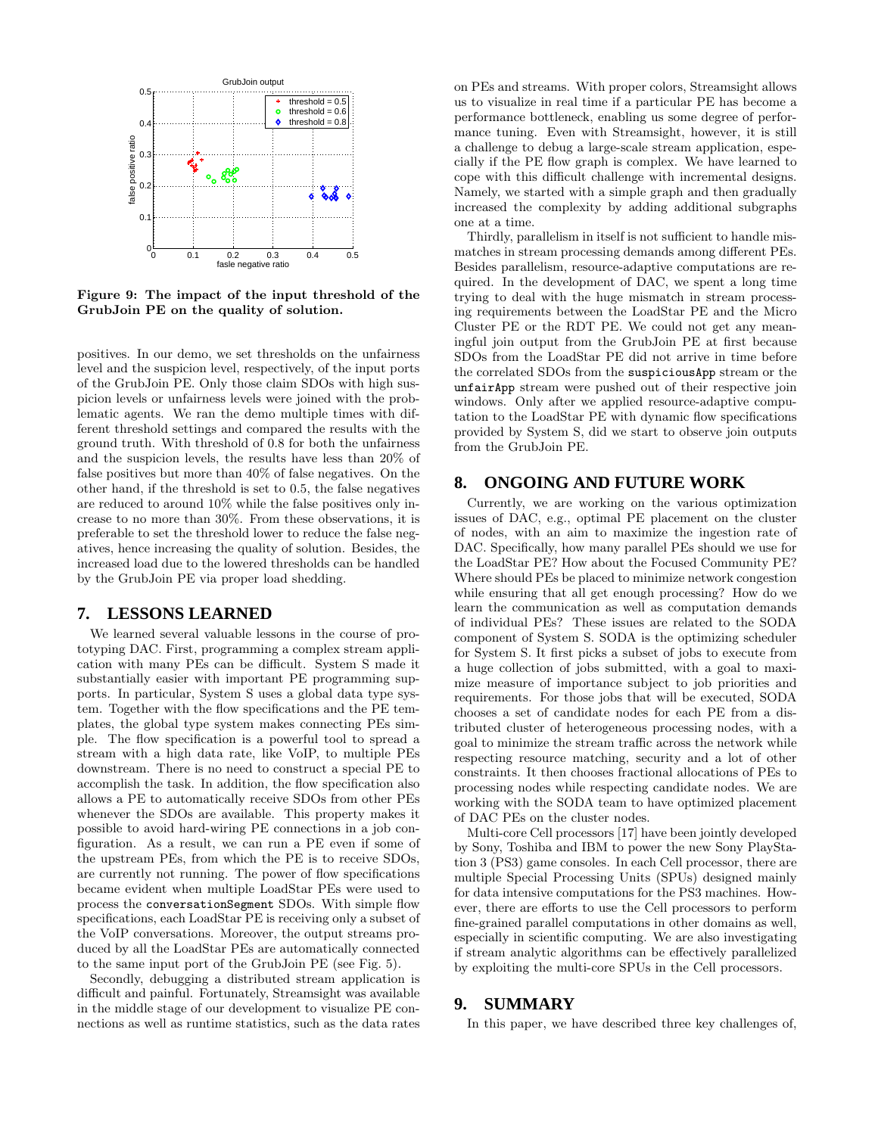

Figure 9: The impact of the input threshold of the GrubJoin PE on the quality of solution.

positives. In our demo, we set thresholds on the unfairness level and the suspicion level, respectively, of the input ports of the GrubJoin PE. Only those claim SDOs with high suspicion levels or unfairness levels were joined with the problematic agents. We ran the demo multiple times with different threshold settings and compared the results with the ground truth. With threshold of 0.8 for both the unfairness and the suspicion levels, the results have less than 20% of false positives but more than 40% of false negatives. On the other hand, if the threshold is set to 0.5, the false negatives are reduced to around 10% while the false positives only increase to no more than 30%. From these observations, it is preferable to set the threshold lower to reduce the false negatives, hence increasing the quality of solution. Besides, the increased load due to the lowered thresholds can be handled by the GrubJoin PE via proper load shedding.

# **7. LESSONS LEARNED**

We learned several valuable lessons in the course of prototyping DAC. First, programming a complex stream application with many PEs can be difficult. System S made it substantially easier with important PE programming supports. In particular, System S uses a global data type system. Together with the flow specifications and the PE templates, the global type system makes connecting PEs simple. The flow specification is a powerful tool to spread a stream with a high data rate, like VoIP, to multiple PEs downstream. There is no need to construct a special PE to accomplish the task. In addition, the flow specification also allows a PE to automatically receive SDOs from other PEs whenever the SDOs are available. This property makes it possible to avoid hard-wiring PE connections in a job configuration. As a result, we can run a PE even if some of the upstream PEs, from which the PE is to receive SDOs, are currently not running. The power of flow specifications became evident when multiple LoadStar PEs were used to process the conversationSegment SDOs. With simple flow specifications, each LoadStar PE is receiving only a subset of the VoIP conversations. Moreover, the output streams produced by all the LoadStar PEs are automatically connected to the same input port of the GrubJoin PE (see Fig. 5).

Secondly, debugging a distributed stream application is difficult and painful. Fortunately, Streamsight was available in the middle stage of our development to visualize PE connections as well as runtime statistics, such as the data rates on PEs and streams. With proper colors, Streamsight allows us to visualize in real time if a particular PE has become a performance bottleneck, enabling us some degree of performance tuning. Even with Streamsight, however, it is still a challenge to debug a large-scale stream application, especially if the PE flow graph is complex. We have learned to cope with this difficult challenge with incremental designs. Namely, we started with a simple graph and then gradually increased the complexity by adding additional subgraphs one at a time.

Thirdly, parallelism in itself is not sufficient to handle mismatches in stream processing demands among different PEs. Besides parallelism, resource-adaptive computations are required. In the development of DAC, we spent a long time trying to deal with the huge mismatch in stream processing requirements between the LoadStar PE and the Micro Cluster PE or the RDT PE. We could not get any meaningful join output from the GrubJoin PE at first because SDOs from the LoadStar PE did not arrive in time before the correlated SDOs from the suspiciousApp stream or the unfairApp stream were pushed out of their respective join windows. Only after we applied resource-adaptive computation to the LoadStar PE with dynamic flow specifications provided by System S, did we start to observe join outputs from the GrubJoin PE.

## **8. ONGOING AND FUTURE WORK**

Currently, we are working on the various optimization issues of DAC, e.g., optimal PE placement on the cluster of nodes, with an aim to maximize the ingestion rate of DAC. Specifically, how many parallel PEs should we use for the LoadStar PE? How about the Focused Community PE? Where should PEs be placed to minimize network congestion while ensuring that all get enough processing? How do we learn the communication as well as computation demands of individual PEs? These issues are related to the SODA component of System S. SODA is the optimizing scheduler for System S. It first picks a subset of jobs to execute from a huge collection of jobs submitted, with a goal to maximize measure of importance subject to job priorities and requirements. For those jobs that will be executed, SODA chooses a set of candidate nodes for each PE from a distributed cluster of heterogeneous processing nodes, with a goal to minimize the stream traffic across the network while respecting resource matching, security and a lot of other constraints. It then chooses fractional allocations of PEs to processing nodes while respecting candidate nodes. We are working with the SODA team to have optimized placement of DAC PEs on the cluster nodes.

Multi-core Cell processors [17] have been jointly developed by Sony, Toshiba and IBM to power the new Sony PlayStation 3 (PS3) game consoles. In each Cell processor, there are multiple Special Processing Units (SPUs) designed mainly for data intensive computations for the PS3 machines. However, there are efforts to use the Cell processors to perform fine-grained parallel computations in other domains as well, especially in scientific computing. We are also investigating if stream analytic algorithms can be effectively parallelized by exploiting the multi-core SPUs in the Cell processors.

## **9. SUMMARY**

In this paper, we have described three key challenges of,